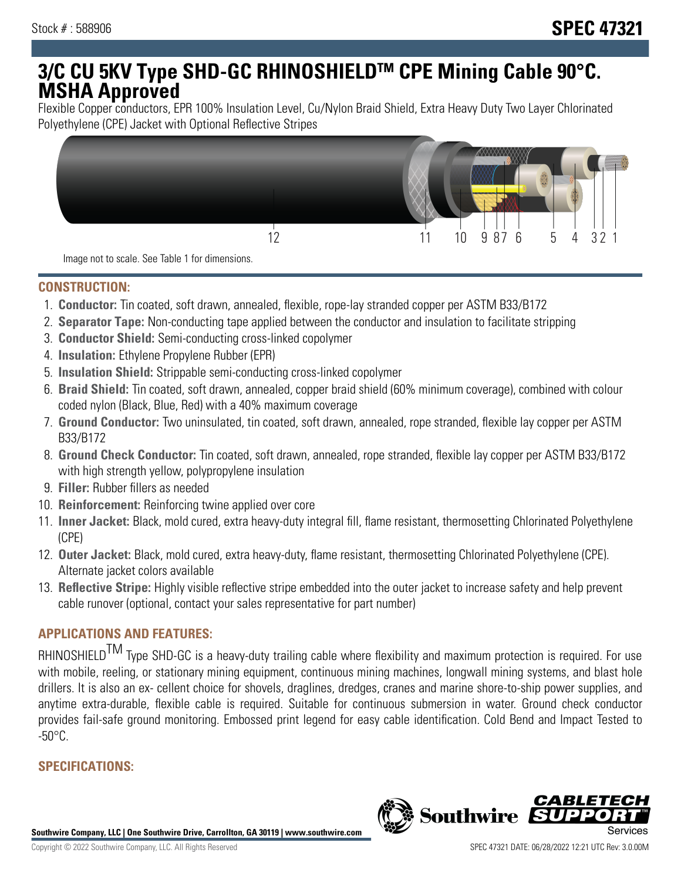# **3/C CU 5KV Type SHD-GC RHINOSHIELDTM CPE Mining Cable 90°C. MSHA Approved**

Flexible Copper conductors, EPR 100% Insulation Level, Cu/Nylon Braid Shield, Extra Heavy Duty Two Layer Chlorinated Polyethylene (CPE) Jacket with Optional Reflective Stripes



Image not to scale. See Table 1 for dimensions.

#### **CONSTRUCTION:**

- 1. **Conductor:** Tin coated, soft drawn, annealed, flexible, rope-lay stranded copper per ASTM B33/B172
- 2. **Separator Tape:** Non-conducting tape applied between the conductor and insulation to facilitate stripping
- 3. **Conductor Shield:** Semi-conducting cross-linked copolymer
- 4. **Insulation:** Ethylene Propylene Rubber (EPR)
- 5. **Insulation Shield:** Strippable semi-conducting cross-linked copolymer
- 6. **Braid Shield:** Tin coated, soft drawn, annealed, copper braid shield (60% minimum coverage), combined with colour coded nylon (Black, Blue, Red) with a 40% maximum coverage
- 7. **Ground Conductor:** Two uninsulated, tin coated, soft drawn, annealed, rope stranded, flexible lay copper per ASTM B33/B172
- 8. **Ground Check Conductor:** Tin coated, soft drawn, annealed, rope stranded, flexible lay copper per ASTM B33/B172 with high strength yellow, polypropylene insulation
- 9. **Filler:** Rubber fillers as needed
- 10. **Reinforcement:** Reinforcing twine applied over core
- 11. **Inner Jacket:** Black, mold cured, extra heavy-duty integral fill, flame resistant, thermosetting Chlorinated Polyethylene (CPE)
- 12. **Outer Jacket:** Black, mold cured, extra heavy-duty, flame resistant, thermosetting Chlorinated Polyethylene (CPE). Alternate jacket colors available
- 13. **Reflective Stripe:** Highly visible reflective stripe embedded into the outer jacket to increase safety and help prevent cable runover (optional, contact your sales representative for part number)

## **APPLICATIONS AND FEATURES:**

RHINOSHIELD<sup>TM</sup> Type SHD-GC is a heavy-duty trailing cable where flexibility and maximum protection is required. For use with mobile, reeling, or stationary mining equipment, continuous mining machines, longwall mining systems, and blast hole drillers. It is also an ex- cellent choice for shovels, draglines, dredges, cranes and marine shore-to-ship power supplies, and anytime extra-durable, flexible cable is required. Suitable for continuous submersion in water. Ground check conductor provides fail-safe ground monitoring. Embossed print legend for easy cable identification. Cold Bend and Impact Tested to  $-50^{\circ}$ C.

# **SPECIFICATIONS:**

**Southwire Company, LLC | One Southwire Drive, Carrollton, GA 30119 | www.southwire.com**

**Southwire** 

CABL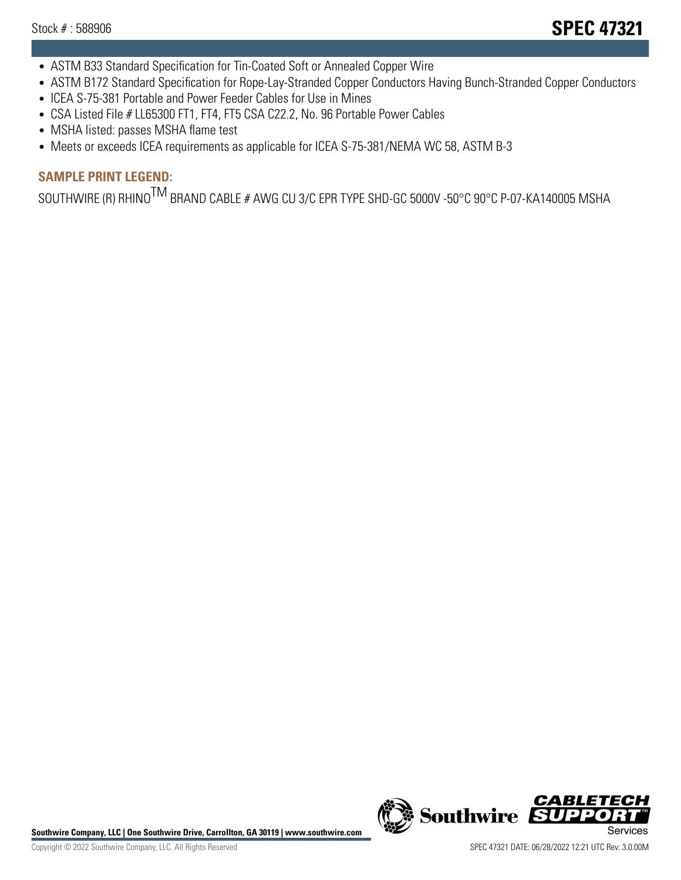- ASTM B33 Standard Specification for Tin-Coated Soft or Annealed Copper Wire
- ASTM B172 Standard Specification for Rope-Lay-Stranded Copper Conductors Having Bunch-Stranded Copper Conductors
- ICEA S-75-381 Portable and Power Feeder Cables for Use in Mines
- CSA Listed File # LL65300 FT1, FT4, FT5 CSA C22.2, No. 96 Portable Power Cables
- MSHA listed: passes MSHA flame test
- Meets or exceeds ICEA requirements as applicable for ICEA S-75-381/NEMA WC 58, ASTM B-3

# **SAMPLE PRINT LEGEND:**

SOUTHWIRE (R) RHINO<sup>TM</sup> BRAND CABLE # AWG CU 3/C EPR TYPE SHD-GC 5000V -50°C 90°C P-07-KA140005 MSHA

Southwire Company, LLC | One Southwire Drive, Carrollton, GA 30119 | www.southwire.com **Second Company, COVID Services** 



CABL